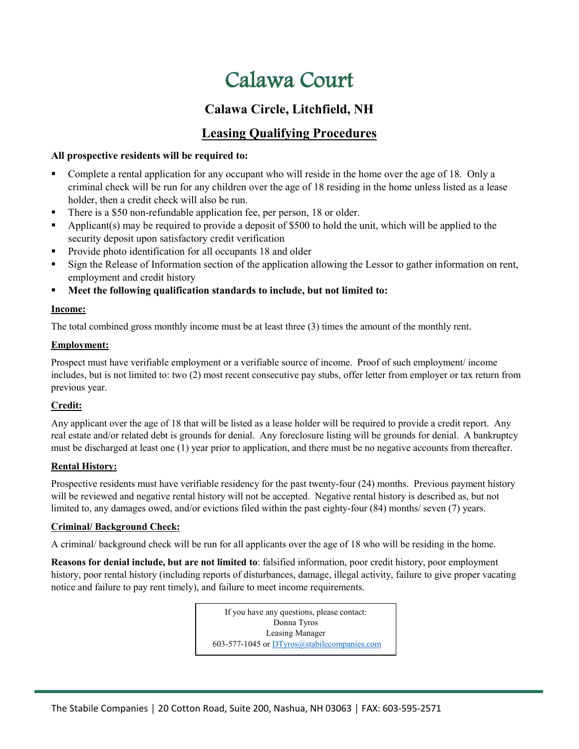# Calawa Court

## **Calawa Circle, Litchfield, NH**

### **Leasing Qualifying Procedures**

### **All prospective residents will be required to:**

- Complete a rental application for any occupant who will reside in the home over the age of 18. Only a criminal check will be run for any children over the age of 18 residing in the home unless listed as a lease holder, then a credit check will also be run.
- There is a \$50 non-refundable application fee, per person, 18 or older.
- Applicant(s) may be required to provide a deposit of \$500 to hold the unit, which will be applied to the security deposit upon satisfactory credit verification
- **Provide photo identification for all occupants 18 and older**
- Sign the Release of Information section of the application allowing the Lessor to gather information on rent, employment and credit history
- **Meet the following qualification standards to include, but not limited to:**

### **Income:**

The total combined gross monthly income must be at least three (3) times the amount of the monthly rent.

#### **Employment:**

Prospect must have verifiable employment or a verifiable source of income. Proof of such employment/ income includes, but is not limited to: two (2) most recent consecutive pay stubs, offer letter from employer or tax return from previous year.

### **Credit:**

Any applicant over the age of 18 that will be listed as a lease holder will be required to provide a credit report. Any real estate and/or related debt is grounds for denial. Any foreclosure listing will be grounds for denial. A bankruptcy must be discharged at least one (1) year prior to application, and there must be no negative accounts from thereafter.

### **Rental History:**

Prospective residents must have verifiable residency for the past twenty-four (24) months. Previous payment history will be reviewed and negative rental history will not be accepted. Negative rental history is described as, but not limited to, any damages owed, and/or evictions filed within the past eighty-four (84) months/ seven (7) years.

### **Criminal/ Background Check:**

A criminal/ background check will be run for all applicants over the age of 18 who will be residing in the home.

**Reasons for denial include, but are not limited to**: falsified information, poor credit history, poor employment history, poor rental history (including reports of disturbances, damage, illegal activity, failure to give proper vacating notice and failure to pay rent timely), and failure to meet income requirements.

> If you have any questions, please contact: Donna Tyros Leasing Manager 603-577-1045 or [DTyros@stabilecompanies.com](mailto:DTyros@stabilecompanies.com)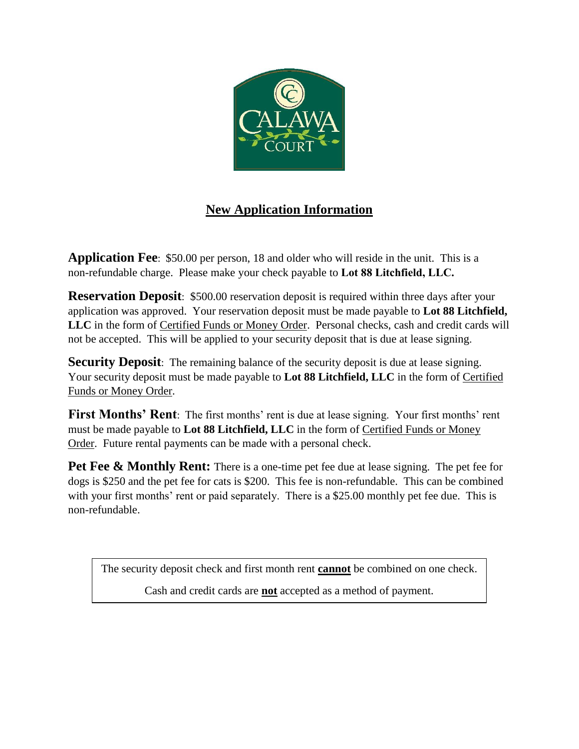

## **New Application Information**

**Application Fee**: \$50.00 per person, 18 and older who will reside in the unit. This is a non-refundable charge. Please make your check payable to **Lot 88 Litchfield, LLC.**

**Reservation Deposit:** \$500.00 reservation deposit is required within three days after your application was approved. Your reservation deposit must be made payable to **Lot 88 Litchfield, LLC** in the form of Certified Funds or Money Order. Personal checks, cash and credit cards will not be accepted. This will be applied to your security deposit that is due at lease signing.

**Security Deposit**: The remaining balance of the security deposit is due at lease signing. Your security deposit must be made payable to **Lot 88 Litchfield, LLC** in the form of Certified Funds or Money Order.

**First Months' Rent**: The first months' rent is due at lease signing. Your first months' rent must be made payable to **Lot 88 Litchfield, LLC** in the form of Certified Funds or Money Order. Future rental payments can be made with a personal check.

**Pet Fee & Monthly Rent:** There is a one-time pet fee due at lease signing. The pet fee for dogs is \$250 and the pet fee for cats is \$200. This fee is non-refundable. This can be combined with your first months' rent or paid separately. There is a \$25.00 monthly pet fee due. This is non-refundable.

The security deposit check and first month rent **cannot** be combined on one check.

Cash and credit cards are **not** accepted as a method of payment.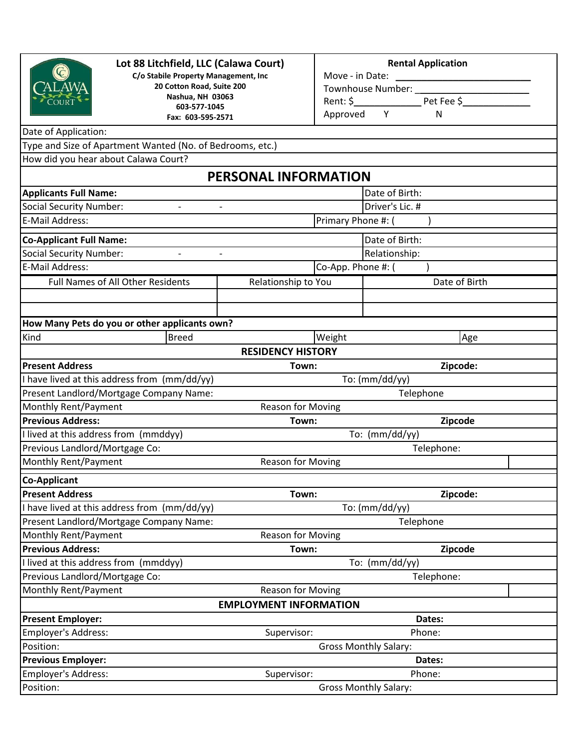

### **Lot 88 Litchfield, LLC (Calawa Court)**

**C/o Stabile Property Management, Inc 20 Cotton Road, Suite 200 Nashua, NH 03063 603-577-1045 Fax: 603-595-2571**

#### **Rental Application**

| Move - in Date:   |  |            |  |  |  |  |
|-------------------|--|------------|--|--|--|--|
| Townhouse Number: |  |            |  |  |  |  |
| Rent: \$          |  | Pet Fee \$ |  |  |  |  |
| Approved          |  | N          |  |  |  |  |

### Date of Application:

Type and Size of Apartment Wanted (No. of Bedrooms, etc.)

How did you hear about Calawa Court?

### **PERSONAL INFORMATION**

| <b>Applicants Full Name:</b>                 |                                                      |                               |                    | Date of Birth:               |  |  |  |
|----------------------------------------------|------------------------------------------------------|-------------------------------|--------------------|------------------------------|--|--|--|
| <b>Social Security Number:</b>               | $\overline{\phantom{a}}$<br>$\overline{\phantom{a}}$ |                               |                    | Driver's Lic. #              |  |  |  |
| E-Mail Address:                              |                                                      |                               | Primary Phone #: ( |                              |  |  |  |
| <b>Co-Applicant Full Name:</b>               |                                                      |                               |                    | Date of Birth:               |  |  |  |
| <b>Social Security Number:</b>               | $\qquad \qquad -$<br>$\overline{a}$                  |                               |                    | Relationship:                |  |  |  |
| <b>E-Mail Address:</b>                       |                                                      |                               | Co-App. Phone #: ( |                              |  |  |  |
| Full Names of All Other Residents            |                                                      | Relationship to You           |                    | Date of Birth                |  |  |  |
|                                              |                                                      |                               |                    |                              |  |  |  |
|                                              |                                                      |                               |                    |                              |  |  |  |
|                                              | How Many Pets do you or other applicants own?        |                               |                    |                              |  |  |  |
| Kind                                         | <b>Breed</b>                                         |                               | Weight             | Age                          |  |  |  |
|                                              |                                                      | <b>RESIDENCY HISTORY</b>      |                    |                              |  |  |  |
| <b>Present Address</b>                       |                                                      | Town:                         |                    | Zipcode:                     |  |  |  |
| I have lived at this address from (mm/dd/yy) |                                                      | To: (mm/dd/yy)                |                    |                              |  |  |  |
| Present Landlord/Mortgage Company Name:      |                                                      |                               |                    | Telephone                    |  |  |  |
| Monthly Rent/Payment                         |                                                      | <b>Reason for Moving</b>      |                    |                              |  |  |  |
| <b>Previous Address:</b>                     | Town:                                                |                               | Zipcode            |                              |  |  |  |
| I lived at this address from (mmddyy)        |                                                      | To: (mm/dd/yy)                |                    |                              |  |  |  |
| Previous Landlord/Mortgage Co:               |                                                      |                               |                    | Telephone:                   |  |  |  |
| Monthly Rent/Payment                         | Reason for Moving                                    |                               |                    |                              |  |  |  |
| <b>Co-Applicant</b>                          |                                                      |                               |                    |                              |  |  |  |
| <b>Present Address</b>                       | Town:                                                |                               | Zipcode:           |                              |  |  |  |
| have lived at this address from (mm/dd/yy)   |                                                      | To: (mm/dd/yy)                |                    |                              |  |  |  |
| Present Landlord/Mortgage Company Name:      |                                                      |                               |                    | Telephone                    |  |  |  |
| Monthly Rent/Payment                         |                                                      | <b>Reason for Moving</b>      |                    |                              |  |  |  |
| <b>Previous Address:</b>                     |                                                      | Town:                         |                    | Zipcode                      |  |  |  |
| I lived at this address from (mmddyy)        |                                                      |                               |                    | To: (mm/dd/yy)               |  |  |  |
| Previous Landlord/Mortgage Co:               |                                                      |                               |                    | Telephone:                   |  |  |  |
| Monthly Rent/Payment                         |                                                      | <b>Reason for Moving</b>      |                    |                              |  |  |  |
|                                              |                                                      | <b>EMPLOYMENT INFORMATION</b> |                    |                              |  |  |  |
| <b>Present Employer:</b>                     |                                                      |                               |                    | Dates:                       |  |  |  |
| Employer's Address:                          |                                                      | Supervisor:                   |                    | Phone:                       |  |  |  |
| Position:                                    |                                                      |                               |                    | <b>Gross Monthly Salary:</b> |  |  |  |
| <b>Previous Employer:</b>                    |                                                      |                               |                    | Dates:                       |  |  |  |
| <b>Employer's Address:</b>                   |                                                      | Supervisor:                   |                    | Phone:                       |  |  |  |
| Position:                                    | <b>Gross Monthly Salary:</b>                         |                               |                    |                              |  |  |  |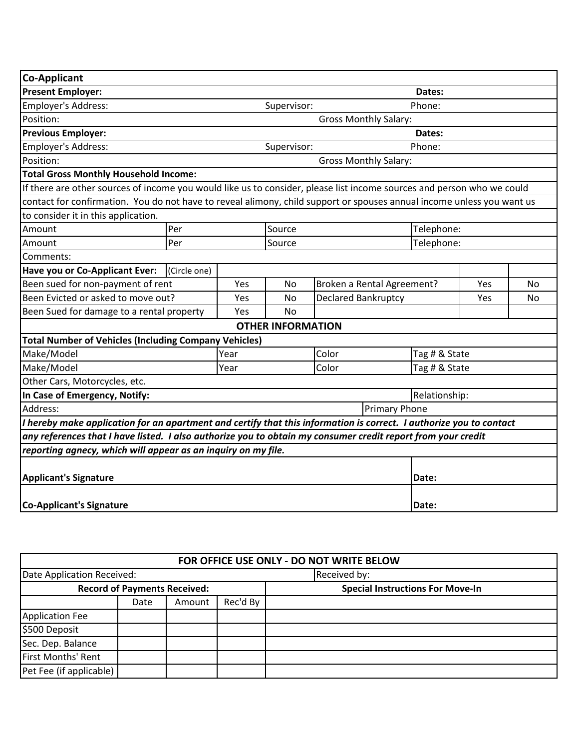| <b>Co-Applicant</b>                                                                                                    |              |           |                              |                              |               |               |  |  |
|------------------------------------------------------------------------------------------------------------------------|--------------|-----------|------------------------------|------------------------------|---------------|---------------|--|--|
| <b>Present Employer:</b>                                                                                               |              | Dates:    |                              |                              |               |               |  |  |
| Employer's Address:                                                                                                    | Supervisor:  |           |                              | Phone:                       |               |               |  |  |
| Position:                                                                                                              |              |           |                              | <b>Gross Monthly Salary:</b> |               |               |  |  |
| <b>Previous Employer:</b>                                                                                              |              |           |                              |                              | Dates:        |               |  |  |
| Employer's Address:                                                                                                    | Supervisor:  |           |                              | Phone:                       |               |               |  |  |
| Position:                                                                                                              |              |           | <b>Gross Monthly Salary:</b> |                              |               |               |  |  |
| <b>Total Gross Monthly Household Income:</b>                                                                           |              |           |                              |                              |               |               |  |  |
| If there are other sources of income you would like us to consider, please list income sources and person who we could |              |           |                              |                              |               |               |  |  |
| contact for confirmation. You do not have to reveal alimony, child support or spouses annual income unless you want us |              |           |                              |                              |               |               |  |  |
| to consider it in this application.                                                                                    |              |           |                              |                              |               |               |  |  |
| Amount                                                                                                                 | Per          |           | Source                       |                              | Telephone:    |               |  |  |
| Amount                                                                                                                 | Per          |           | Source                       |                              | Telephone:    |               |  |  |
| Comments:                                                                                                              |              |           |                              |                              |               |               |  |  |
| Have you or Co-Applicant Ever:                                                                                         | (Circle one) |           |                              |                              |               |               |  |  |
| Been sued for non-payment of rent                                                                                      | Yes          | <b>No</b> | Broken a Rental Agreement?   | Yes                          | No            |               |  |  |
| Been Evicted or asked to move out?                                                                                     | Yes          | <b>No</b> | <b>Declared Bankruptcy</b>   |                              | Yes           | No            |  |  |
| Been Sued for damage to a rental property                                                                              |              | Yes       | <b>No</b>                    |                              |               |               |  |  |
| <b>OTHER INFORMATION</b>                                                                                               |              |           |                              |                              |               |               |  |  |
| <b>Total Number of Vehicles (Including Company Vehicles)</b>                                                           |              |           |                              |                              |               |               |  |  |
| Make/Model                                                                                                             |              | Year      |                              | Color                        | Tag # & State |               |  |  |
| Make/Model                                                                                                             |              | Year      |                              | Color                        | Tag # & State |               |  |  |
| Other Cars, Motorcycles, etc.                                                                                          |              |           |                              |                              |               |               |  |  |
| In Case of Emergency, Notify:                                                                                          |              |           |                              |                              |               | Relationship: |  |  |
| Address:<br><b>Primary Phone</b>                                                                                       |              |           |                              |                              |               |               |  |  |
| I hereby make application for an apartment and certify that this information is correct. I authorize you to contact    |              |           |                              |                              |               |               |  |  |
| any references that I have listed. I also authorize you to obtain my consumer credit report from your credit           |              |           |                              |                              |               |               |  |  |
| reporting agnecy, which will appear as an inquiry on my file.                                                          |              |           |                              |                              |               |               |  |  |
|                                                                                                                        |              |           |                              |                              |               |               |  |  |
| <b>Applicant's Signature</b>                                                                                           |              |           |                              |                              | Date:         |               |  |  |
| <b>Co-Applicant's Signature</b>                                                                                        |              |           |                              |                              | Date:         |               |  |  |

| FOR OFFICE USE ONLY - DO NOT WRITE BELOW |      |        |          |                                         |  |  |
|------------------------------------------|------|--------|----------|-----------------------------------------|--|--|
| Date Application Received:               |      |        |          | Received by:                            |  |  |
| <b>Record of Payments Received:</b>      |      |        |          | <b>Special Instructions For Move-In</b> |  |  |
|                                          | Date | Amount | Rec'd By |                                         |  |  |
| Application Fee                          |      |        |          |                                         |  |  |
| \$500 Deposit                            |      |        |          |                                         |  |  |
| Sec. Dep. Balance                        |      |        |          |                                         |  |  |
| First Months' Rent                       |      |        |          |                                         |  |  |
| Pet Fee (if applicable)                  |      |        |          |                                         |  |  |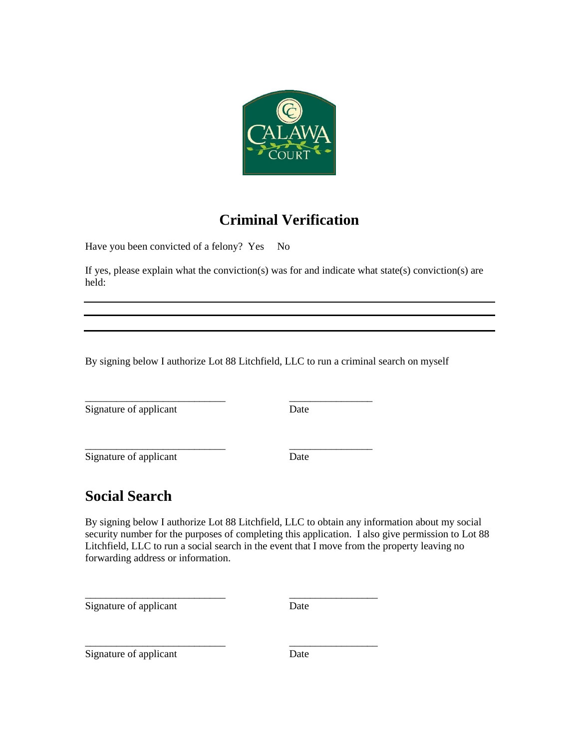

# **Criminal Verification**

Have you been convicted of a felony? Yes No

If yes, please explain what the conviction(s) was for and indicate what state(s) conviction(s) are held:

By signing below I authorize Lot 88 Litchfield, LLC to run a criminal search on myself

\_\_\_\_\_\_\_\_\_\_\_\_\_\_\_\_\_\_\_\_\_\_\_\_\_\_\_ \_\_\_\_\_\_\_\_\_\_\_\_\_\_\_\_

\_\_\_\_\_\_\_\_\_\_\_\_\_\_\_\_\_\_\_\_\_\_\_\_\_\_\_ \_\_\_\_\_\_\_\_\_\_\_\_\_\_\_\_\_

\_\_\_\_\_\_\_\_\_\_\_\_\_\_\_\_\_\_\_\_\_\_\_\_\_\_\_ \_\_\_\_\_\_\_\_\_\_\_\_\_\_\_\_\_

Signature of applicant Date

Signature of applicant Date

\_\_\_\_\_\_\_\_\_\_\_\_\_\_\_\_\_\_\_\_\_\_\_\_\_\_\_ \_\_\_\_\_\_\_\_\_\_\_\_\_\_\_\_

# **Social Search**

By signing below I authorize Lot 88 Litchfield, LLC to obtain any information about my social security number for the purposes of completing this application. I also give permission to Lot 88 Litchfield, LLC to run a social search in the event that I move from the property leaving no forwarding address or information.

Signature of applicant Date

Signature of applicant Date